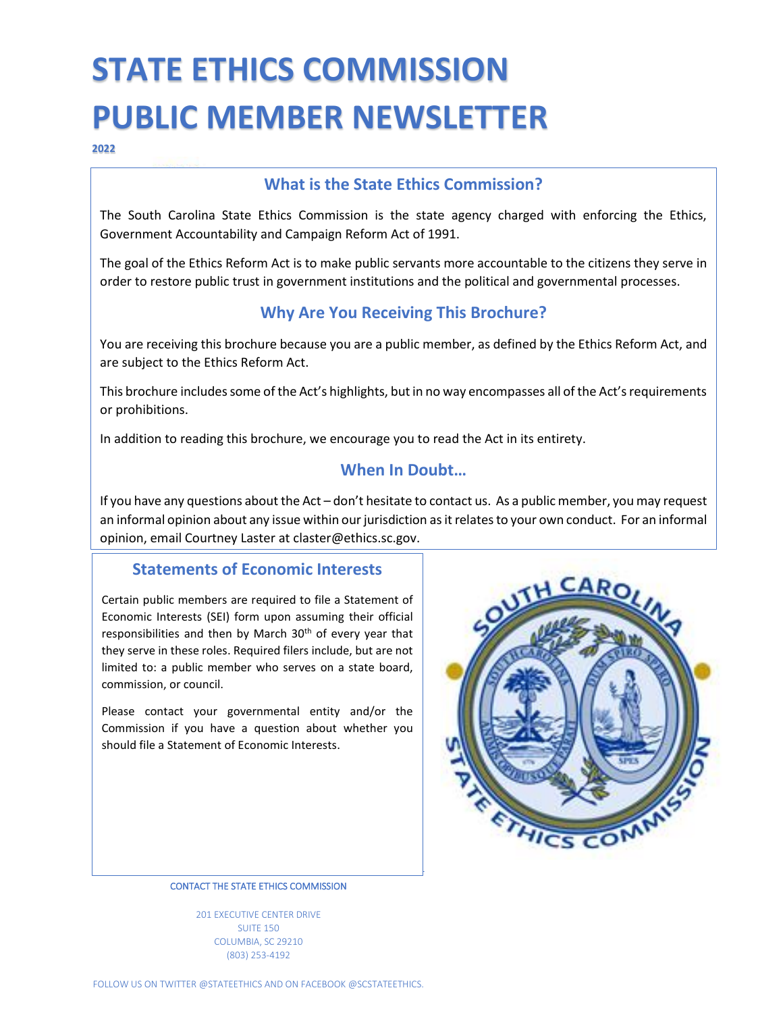# **STATE ETHICS COMMISSION PUBLIC MEMBER NEWSLETTER**

**2022**

### **What is the State Ethics Commission?**

The South Carolina State Ethics Commission is the state agency charged with enforcing the Ethics, Government Accountability and Campaign Reform Act of 1991.

The goal of the Ethics Reform Act is to make public servants more accountable to the citizens they serve in order to restore public trust in government institutions and the political and governmental processes.

## **Why Are You Receiving This Brochure?**

You are receiving this brochure because you are a public member, as defined by the Ethics Reform Act, and are subject to the Ethics Reform Act.

This brochure includes some of the Act's highlights, but in no way encompasses all of the Act's requirements or prohibitions.

In addition to reading this brochure, we encourage you to read the Act in its entirety.

## **When In Doubt…**

If you have any questions about the Act – don't hesitate to contact us. As a public member, you may request an informal opinion about any issue within our jurisdiction as it relates to your own conduct. For an informal opinion, email Courtney Laster at claster@ethics.sc.gov.

### **Statements of Economic Interests**

Certain public members are required to file a Statement of Economic Interests (SEI) form upon assuming their official responsibilities and then by March 30<sup>th</sup> of every year that they serve in these roles. Required filers include, but are not limited to: a public member who serves on a state board, commission, or council.

Please contact your governmental entity and/or the Commission if you have a question about whether you should file a Statement of Economic Interests.



CONTACT THE STATE ETHICS COMMISSION

201 EXECUTIVE CENTER DRIVE SUITE 150 COLUMBIA, SC 29210 (803) 253-4192